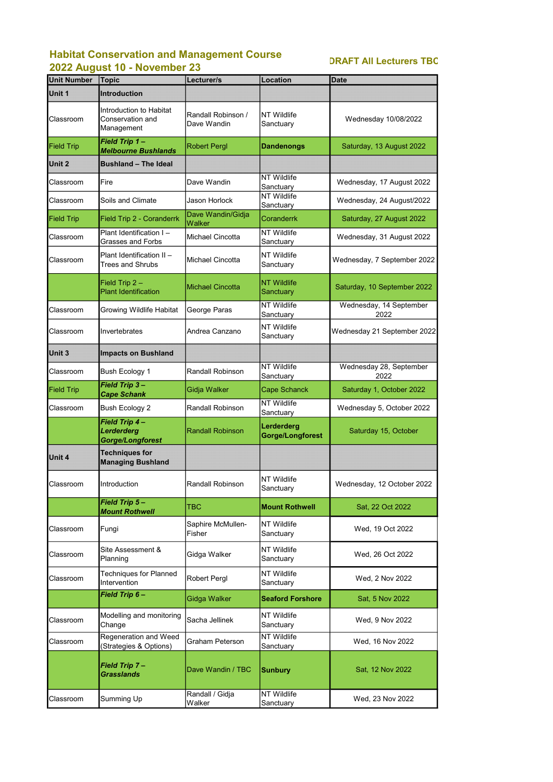## Habitat Conservation and Management Course 2022 August 10 - November 23

| <b>Unit Number</b> | <b>Topic</b>                                                     | Lecturer/s                         | <b>Location</b>                  | <b>Date</b>                     |
|--------------------|------------------------------------------------------------------|------------------------------------|----------------------------------|---------------------------------|
| Unit 1             | <b>Introduction</b>                                              |                                    |                                  |                                 |
| Classroom          | Introduction to Habitat<br><b>Conservation and</b><br>Management | Randall Robinson /<br>Dave Wandin  | <b>NT Wildlife</b><br>Sanctuary  | Wednesday 10/08/2022            |
| <b>Field Trip</b>  | Field Trip 1-<br><b>Melbourne Bushlands</b>                      | <b>Robert Pergl</b>                | <b>Dandenongs</b>                | Saturday, 13 August 2022        |
| Unit 2             | <b>Bushland - The Ideal</b>                                      |                                    |                                  |                                 |
| Classroom          | Fire                                                             | Dave Wandin                        | <b>NT Wildlife</b><br>Sanctuary  | Wednesday, 17 August 2022       |
| Classroom          | Soils and Climate                                                | <b>Jason Horlock</b>               | <b>NT Wildlife</b><br>Sanctuary  | Wednesday, 24 August/2022       |
| <b>Field Trip</b>  | Field Trip 2 - Coranderrk                                        | Dave Wandin/Gidja<br><b>Walker</b> | <b>Coranderrk</b>                | Saturday, 27 August 2022        |
| Classroom          | Plant Identification I-<br><b>Grasses and Forbs</b>              | <b>Michael Cincotta</b>            | <b>NT Wildlife</b><br>Sanctuary  | Wednesday, 31 August 2022       |
| Classroom          | Plant Identification II -<br><b>Trees and Shrubs</b>             | <b>Michael Cincotta</b>            | <b>NT Wildlife</b><br>Sanctuary  | Wednesday, 7 September 2022     |
|                    | Field Trip $2 -$<br><b>Plant Identification</b>                  | <b>Michael Cincotta</b>            | <b>NT Wildlife</b><br>Sanctuary  | Saturday, 10 September 2022     |
| Classroom          | Growing Wildlife Habitat                                         | George Paras                       | <b>NT Wildlife</b><br>Sanctuary  | Wednesday, 14 September<br>2022 |
| Classroom          | Invertebrates                                                    | Andrea Canzano                     | <b>NT Wildlife</b><br>Sanctuary  | Wednesday 21 September 2022     |
| Unit 3             | <b>Impacts on Bushland</b>                                       |                                    |                                  |                                 |
| Classroom          | <b>Bush Ecology 1</b>                                            | <b>Randall Robinson</b>            | <b>INT Wildlife</b><br>Sanctuary | Wednesday 28, September<br>2022 |
| <b>Field Trip</b>  | Field Trip 3-<br><b>Cape Schank</b>                              | Gidja Walker                       | <b>Cape Schanck</b>              | Saturday 1, October 2022        |
| Classroom          | Bush Ecology 2                                                   | Randall Robinson                   | <b>NT Wildlife</b><br>Sanctuary  | Wednesday 5, October 2022       |
|                    | Field Trip 4-<br>Lerderderg<br><b>Gorge/Longforest</b>           | <b>Randall Robinson</b>            | Lerderderg<br>Gorge/Longforest   | Saturday 15, October            |
| Unit 4             | <b>Techniques for</b><br><b>Managing Bushland</b>                |                                    |                                  |                                 |
| Classroom          | Introduction                                                     | <b>Randall Robinson</b>            | <b>NT Wildlife</b><br>Sanctuary  | Wednesday, 12 October 2022      |
|                    | Field Trip 5-<br><b>Mount Rothwell</b>                           | <b>TBC</b>                         | <b>Mount Rothwell</b>            | Sat, 22 Oct 2022                |
| Classroom          | Fungi                                                            | Saphire McMullen-<br>Fisher        | <b>NT Wildlife</b><br>Sanctuary  | Wed, 19 Oct 2022                |
| Classroom          | Site Assessment &<br>Planning                                    | Gidga Walker                       | <b>NT Wildlife</b><br>Sanctuary  | Wed, 26 Oct 2022                |
| Classroom          | <b>Techniques for Planned</b><br>Intervention                    | <b>Robert Pergl</b>                | <b>NT Wildlife</b><br>Sanctuary  | Wed, 2 Nov 2022                 |
|                    | Field Trip 6-                                                    | <b>Gidga Walker</b>                | <b>Seaford Forshore</b>          | Sat, 5 Nov 2022                 |
| Classroom          | Modelling and monitoring<br>Change                               | Sacha Jellinek                     | <b>NT Wildlife</b><br>Sanctuary  | Wed, 9 Nov 2022                 |
| Classroom          | <b>Regeneration and Weed</b><br>Strategies & Options)            | <b>Graham Peterson</b>             | <b>NT Wildlife</b><br>Sanctuary  | Wed, 16 Nov 2022                |
|                    | Field Trip 7-<br><b>Grasslands</b>                               | Dave Wandin / TBC                  | <b>Sunbury</b>                   | Sat, 12 Nov 2022                |
| Classroom          | Summing Up                                                       | Randall / Gidja<br>Walker          | <b>NT Wildlife</b><br>Sanctuary  | Wed, 23 Nov 2022                |

## DRAFT All Lecturers TBC